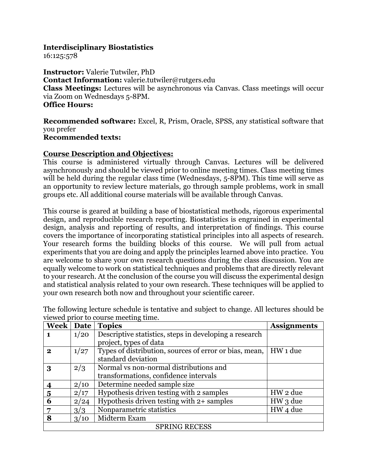## **Interdisciplinary Biostatistics**

16:125:578

**Instructor:** Valerie Tutwiler, PhD **Contact Information:** valerie.tutwiler@rutgers.edu **Class Meetings:** Lectures will be asynchronous via Canvas. Class meetings will occur via Zoom on Wednesdays 5-8PM. **Office Hours:** 

**Recommended software:** Excel, R, Prism, Oracle, SPSS, any statistical software that you prefer **Recommended texts:** 

## **Course Description and Objectives:**

This course is administered virtually through Canvas. Lectures will be delivered asynchronously and should be viewed prior to online meeting times. Class meeting times will be held during the regular class time (Wednesdays, 5-8PM). This time will serve as an opportunity to review lecture materials, go through sample problems, work in small groups etc. All additional course materials will be available through Canvas.

This course is geared at building a base of biostatistical methods, rigorous experimental design, and reproducible research reporting. Biostatistics is engrained in experimental design, analysis and reporting of results, and interpretation of findings. This course covers the importance of incorporating statistical principles into all aspects of research. Your research forms the building blocks of this course. We will pull from actual experiments that you are doing and apply the principles learned above into practice. You are welcome to share your own research questions during the class discussion. You are equally welcome to work on statistical techniques and problems that are directly relevant to your research. At the conclusion of the course you will discuss the experimental design and statistical analysis related to your own research. These techniques will be applied to your own research both now and throughout your scientific career.

| Week   Date          |      | <b>Topics</b>                                          | <b>Assignments</b> |  |  |
|----------------------|------|--------------------------------------------------------|--------------------|--|--|
| $\mathbf 1$          | 1/20 | Descriptive statistics, steps in developing a research |                    |  |  |
|                      |      | project, types of data                                 |                    |  |  |
| $\mathbf{2}$         | 1/27 | Types of distribution, sources of error or bias, mean, | HW 1 due           |  |  |
|                      |      | standard deviation                                     |                    |  |  |
| 3                    | 2/3  | Normal vs non-normal distributions and                 |                    |  |  |
|                      |      | transformations, confidence intervals                  |                    |  |  |
|                      | 2/10 | Determine needed sample size                           |                    |  |  |
| 5                    | 2/17 | Hypothesis driven testing with 2 samples               | HW 2 due           |  |  |
| 6                    | 2/24 | Hypothesis driven testing with 2+ samples              | HW 3 due           |  |  |
|                      | 3/3  | Nonparametric statistics                               | HW 4 due           |  |  |
| 8                    | 3/10 | Midterm Exam                                           |                    |  |  |
| <b>SPRING RECESS</b> |      |                                                        |                    |  |  |

The following lecture schedule is tentative and subject to change. All lectures should be viewed prior to course meeting time.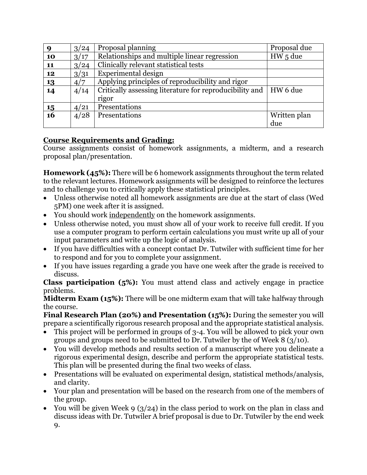| 9  | 3/24 | Proposal planning                                                  | Proposal due |
|----|------|--------------------------------------------------------------------|--------------|
| 10 | 3/17 | Relationships and multiple linear regression                       | $HW5$ due    |
| 11 | 3/24 | Clinically relevant statistical tests                              |              |
| 12 | 3/31 | Experimental design                                                |              |
| 13 | 4/7  | Applying principles of reproducibility and rigor                   |              |
| 14 | 4/14 | Critically assessing literature for reproducibility and   HW 6 due |              |
|    |      | rigor                                                              |              |
| 15 | 4/21 | Presentations                                                      |              |
| 16 | 4/28 | Presentations                                                      | Written plan |
|    |      |                                                                    | due          |

## **Course Requirements and Grading:**

Course assignments consist of homework assignments, a midterm, and a research proposal plan/presentation.

**Homework (45%):** There will be 6 homework assignments throughout the term related to the relevant lectures. Homework assignments will be designed to reinforce the lectures and to challenge you to critically apply these statistical principles.

- Unless otherwise noted all homework assignments are due at the start of class (Wed 5PM) one week after it is assigned.
- You should work independently on the homework assignments.
- Unless otherwise noted, you must show all of your work to receive full credit. If you use a computer program to perform certain calculations you must write up all of your input parameters and write up the logic of analysis.
- If you have difficulties with a concept contact Dr. Tutwiler with sufficient time for her to respond and for you to complete your assignment.
- If you have issues regarding a grade you have one week after the grade is received to discuss.

**Class participation (5%):** You must attend class and actively engage in practice problems.

**Midterm Exam (15%):** There will be one midterm exam that will take halfway through the course.

**Final Research Plan (20%) and Presentation (15%):** During the semester you will prepare a scientifically rigorous research proposal and the appropriate statistical analysis.

- This project will be performed in groups of 3-4. You will be allowed to pick your own groups and groups need to be submitted to Dr. Tutwiler by the of Week 8 (3/10).
- You will develop methods and results section of a manuscript where you delineate a rigorous experimental design, describe and perform the appropriate statistical tests. This plan will be presented during the final two weeks of class.
- Presentations will be evaluated on experimental design, statistical methods/analysis, and clarity.
- Your plan and presentation will be based on the research from one of the members of the group.
- You will be given Week 9 ( $3/24$ ) in the class period to work on the plan in class and discuss ideas with Dr. Tutwiler A brief proposal is due to Dr. Tutwiler by the end week 9.